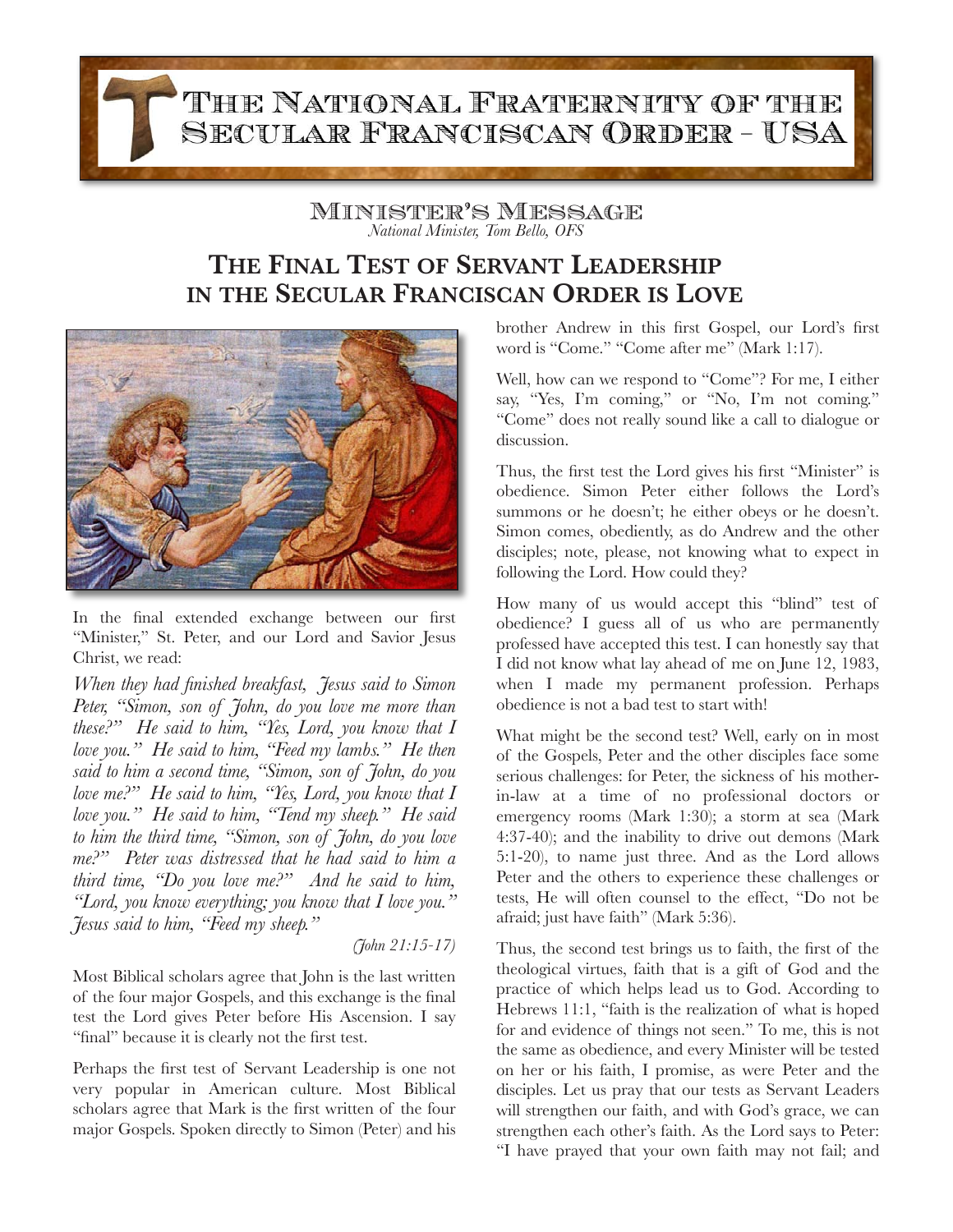THE NATIONAL FRATERNITY OF THE SECULAR FRANCISCAN ORDER - USA

> Minister's Message *National Minister, Tom Bello, OFS*

## **THE FINAL TEST OF SERVANT LEADERSHIP IN THE SECULAR FRANCISCAN ORDER IS LOVE**



In the final extended exchange between our first "Minister," St. Peter, and our Lord and Savior Jesus Christ, we read:

*When they had finished breakfast, Jesus said to Simon Peter, "Simon, son of John, do you love me more than these?" He said to him, "Yes, Lord, you know that I love you." He said to him, "Feed my lambs." He then said to him a second time, "Simon, son of John, do you love me?" He said to him, "Yes, Lord, you know that I love you." He said to him, "Tend my sheep." He said to him the third time, "Simon, son of John, do you love me?" Peter was distressed that he had said to him a third time, "Do you love me?" And he said to him, "Lord, you know everything; you know that I love you." Jesus said to him, "Feed my sheep."* 

*(John 21:15-17)* 

Most Biblical scholars agree that John is the last written of the four major Gospels, and this exchange is the final test the Lord gives Peter before His Ascension. I say "final" because it is clearly not the first test.

Perhaps the first test of Servant Leadership is one not very popular in American culture. Most Biblical scholars agree that Mark is the first written of the four major Gospels. Spoken directly to Simon (Peter) and his brother Andrew in this first Gospel, our Lord's first word is "Come." "Come after me" (Mark 1:17).

Well, how can we respond to "Come"? For me, I either say, "Yes, I'm coming," or "No, I'm not coming." "Come" does not really sound like a call to dialogue or discussion.

Thus, the first test the Lord gives his first "Minister" is obedience. Simon Peter either follows the Lord's summons or he doesn't; he either obeys or he doesn't. Simon comes, obediently, as do Andrew and the other disciples; note, please, not knowing what to expect in following the Lord. How could they?

How many of us would accept this "blind" test of obedience? I guess all of us who are permanently professed have accepted this test. I can honestly say that I did not know what lay ahead of me on June 12, 1983, when I made my permanent profession. Perhaps obedience is not a bad test to start with!

What might be the second test? Well, early on in most of the Gospels, Peter and the other disciples face some serious challenges: for Peter, the sickness of his motherin-law at a time of no professional doctors or emergency rooms (Mark 1:30); a storm at sea (Mark 4:37-40); and the inability to drive out demons (Mark 5:1-20), to name just three. And as the Lord allows Peter and the others to experience these challenges or tests, He will often counsel to the effect, "Do not be afraid; just have faith" (Mark 5:36).

Thus, the second test brings us to faith, the first of the theological virtues, faith that is a gift of God and the practice of which helps lead us to God. According to Hebrews 11:1, "faith is the realization of what is hoped for and evidence of things not seen." To me, this is not the same as obedience, and every Minister will be tested on her or his faith, I promise, as were Peter and the disciples. Let us pray that our tests as Servant Leaders will strengthen our faith, and with God's grace, we can strengthen each other's faith. As the Lord says to Peter: "I have prayed that your own faith may not fail; and